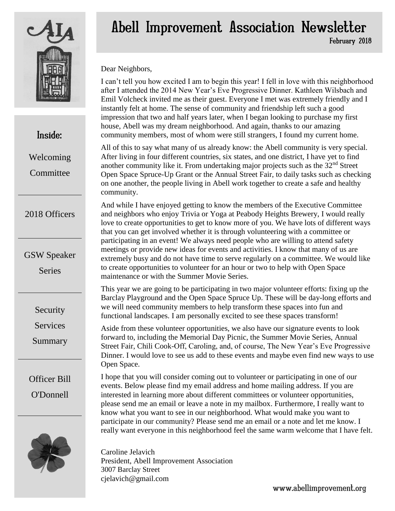

## Inside:

Welcoming Committee

#### 2018 Officers

GSW Speaker

**Series** 

Security

**Services** 

Summary

Officer Bill O'Donnell



# Abell Improvement Association Newsletter February 2018

Dear Neighbors,

I can't tell you how excited I am to begin this year! I fell in love with this neighborhood after I attended the 2014 New Year's Eve Progressive Dinner. Kathleen Wilsbach and Emil Volcheck invited me as their guest. Everyone I met was extremely friendly and I instantly felt at home. The sense of community and friendship left such a good impression that two and half years later, when I began looking to purchase my first house, Abell was my dream neighborhood. And again, thanks to our amazing community members, most of whom were still strangers, I found my current home.

All of this to say what many of us already know: the Abell community is very special. After living in four different countries, six states, and one district, I have yet to find another community like it. From undertaking major projects such as the  $32<sup>nd</sup>$  Street Open Space Spruce-Up Grant or the Annual Street Fair, to daily tasks such as checking on one another, the people living in Abell work together to create a safe and healthy community.

And while I have enjoyed getting to know the members of the Executive Committee and neighbors who enjoy Trivia or Yoga at Peabody Heights Brewery, I would really love to create opportunities to get to know more of you. We have lots of different ways that you can get involved whether it is through volunteering with a committee or participating in an event! We always need people who are willing to attend safety meetings or provide new ideas for events and activities. I know that many of us are extremely busy and do not have time to serve regularly on a committee. We would like to create opportunities to volunteer for an hour or two to help with Open Space maintenance or with the Summer Movie Series.

This year we are going to be participating in two major volunteer efforts: fixing up the Barclay Playground and the Open Space Spruce Up. These will be day-long efforts and we will need community members to help transform these spaces into fun and functional landscapes. I am personally excited to see these spaces transform!

Aside from these volunteer opportunities, we also have our signature events to look forward to, including the Memorial Day Picnic, the Summer Movie Series, Annual Street Fair, Chili Cook-Off, Caroling, and, of course, The New Year's Eve Progressive Dinner. I would love to see us add to these events and maybe even find new ways to use Open Space.

I hope that you will consider coming out to volunteer or participating in one of our events. Below please find my email address and home mailing address. If you are interested in learning more about different committees or volunteer opportunities, please send me an email or leave a note in my mailbox. Furthermore, I really want to know what you want to see in our neighborhood. What would make you want to participate in our community? Please send me an email or a note and let me know. I really want everyone in this neighborhood feel the same warm welcome that I have felt.

Caroline Jelavich President, Abell Improvement Association 3007 Barclay Street cjelavich@gmail.com

www.abellimprovement.org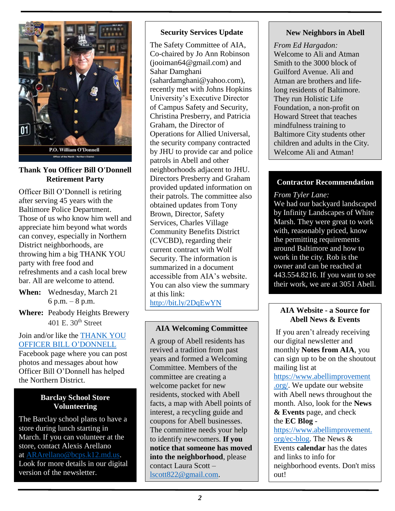

#### **Thank You Officer Bill O'Donnell Retirement Party**

Officer Bill O'Donnell is retiring after serving 45 years with the Baltimore Police Department. Those of us who know him well and appreciate him beyond what words can convey, especially in Northern District neighborhoods, are throwing him a big THANK YOU party with free food and refreshments and a cash local brew bar. All are welcome to attend.

- **When:** Wednesday, March 21 6 p.m. – 8 p.m.
- **Where:** Peabody Heights Brewery 401 E.  $30<sup>th</sup>$  Street

Join and/or like the [THANK YOU](https://www.facebook.com/Thank-You-Officer-Bill-ODonnell-827779850727200/)  [OFFICER BILL O'DONNELL](https://www.facebook.com/Thank-You-Officer-Bill-ODonnell-827779850727200/) Facebook page where you can post photos and messages about how Officer Bill O'Donnell has helped the Northern District.

#### **Barclay School Store Volunteering**

The Barclay school plans to have a store during lunch starting in March. If you can volunteer at the store, contact Alexis Arellano at [ARArellano@bcps.k12.md.us.](mailto:ARArellano@bcps.k12.md.us) Look for more details in our digital version of the newsletter.

#### **Security Services Update**

The Safety Committee of AIA, Co-chaired by Jo Ann Robinson (jooiman64@gmail.com) and Sahar Damghani (sahardamghani@yahoo.com), recently met with Johns Hopkins University's Executive Director of Campus Safety and Security, Christina Presberry, and Patricia Graham, the Director of Operations for Allied Universal, the security company contracted by JHU to provide car and police patrols in Abell and other neighborhoods adjacent to JHU. Directors Presberry and Graham provided updated information on their patrols. The committee also obtained updates from Tony Brown, Director, Safety Services, Charles Village Community Benefits District (CVCBD), regarding their current contract with Wolf Security. The information is summarized in a document accessible from AIA's website. You can also view the summary at this link: <http://bit.ly/2DqEwYN>

#### **AIA Welcoming Committee**

A group of Abell residents has revived a tradition from past years and formed a Welcoming Committee. Members of the committee are creating a welcome packet for new residents, stocked with Abell facts, a map with Abell points of interest, a recycling guide and coupons for Abell businesses. The committee needs your help to identify newcomers. **If you notice that someone has moved into the neighborhood**, please contact Laura Scott – [lscott822@gmail.com.](mailto:lscott822@gmail.com)

#### **New Neighbors in Abell**

*From Ed Hargadon:* Welcome to Ali and Atman Smith to the 3000 block of Guilford Avenue. Ali and Atman are brothers and lifelong residents of Baltimore. They run Holistic Life Foundation, a non-profit on Howard Street that teaches mindfulness training to Baltimore City students other children and adults in the City. Welcome Ali and Atman!

#### **Contractor Recommendation**

#### *From Tyler Lane:*

We had our backyard landscaped by Infinity Landscapes of White Marsh. They were great to work with, reasonably priced, know the permitting requirements around Baltimore and how to work in the city. Rob is the owner and can be reached at 443.554.8216. If you want to see their work, we are at 3051 Abell.

#### **AIA Website - a Source for Abell News & Events**

If you aren't already receiving our digital newsletter and monthly **Notes from AIA**, you can sign up to be on the shoutout mailing list at

https://www.abellimprovement .org/. We update our website with Abell news throughout the month. Also, look for the **News & Events** page, and check the **EC Blog** -

https://www.abellimprovement. org/ec-blog. The News & Events **calendar** has the dates and links to info for neighborhood events. Don't miss out!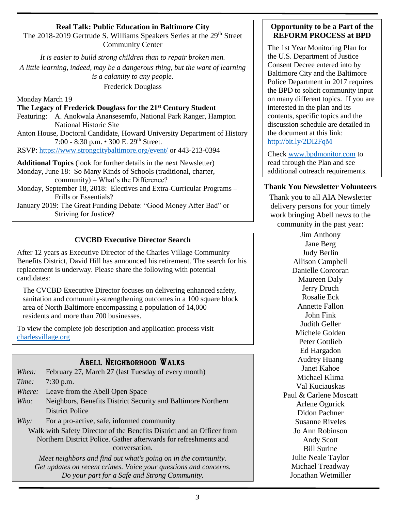#### **Real Talk: Public Education in Baltimore City**

The 2018-2019 Gertrude S. Williams Speakers Series at the 29<sup>th</sup> Street Community Center

*It is easier to build strong children than to repair broken men. A little learning, indeed, may be a dangerous thing, but the want of learning is a calamity to any people.*  Frederick Douglass

Monday March 19

**The Legacy of Frederick Douglass for the 21st Century Student**

Featuring: A. Anokwala Anansesemfo, National Park Ranger, Hampton National Historic Site

Anton House, Doctoral Candidate, Howard University Department of History 7:00 - 8:30 p.m. • 300 E. 29th Street.

RSVP:<https://www.strongcitybaltimore.org/event/> or 443-213-0394

**Additional Topics** (look for further details in the next Newsletter) Monday, June 18: So Many Kinds of Schools (traditional, charter, community) – What's the Difference?

Monday, September 18, 2018: Electives and Extra-Curricular Programs – Frills or Essentials?

January 2019: The Great Funding Debate: "Good Money After Bad" or Striving for Justice?

#### **CVCBD Executive Director Search**

After 12 years as Executive Director of the Charles Village Community Benefits District, David Hill has announced his retirement. The search for his replacement is underway. Please share the following with potential candidates:

The CVCBD Executive Director focuses on delivering enhanced safety, sanitation and community-strengthening outcomes in a 100 square block area of North Baltimore encompassing a population of 14,000 residents and more than 700 businesses.

To view the complete job description and application process visit [charlesvillage.org](http://charlesvillage.org/)

#### Abell Neighborhood Walks

|                                                                        | When: February 27, March 27 (last Tuesday of every month)    |
|------------------------------------------------------------------------|--------------------------------------------------------------|
|                                                                        | <i>Time:</i> 7:30 p.m.                                       |
|                                                                        | <i>Where:</i> Leave from the Abell Open Space                |
| Who:                                                                   | Neighbors, Benefits District Security and Baltimore Northern |
|                                                                        | <b>District Police</b>                                       |
| Why:                                                                   | For a pro-active, safe, informed community                   |
| Walk with Safety Director of the Benefits District and an Officer from |                                                              |

Northern District Police. Gather afterwards for refreshments and conversation.

*Meet neighbors and find out what's going on in the community. Get updates on recent crimes. Voice your questions and concerns. Do your part for a Safe and Strong Community.*

#### **Opportunity to be a Part of the REFORM PROCESS at BPD**

The 1st Year Monitoring Plan for the U.S. Department of Justice Consent Decree entered into by Baltimore City and the Baltimore Police Department in 2017 requires the BPD to solicit community input on many different topics. If you are interested in the plan and its contents, specific topics and the discussion schedule are detailed in the document at this link: <http://bit.ly/2DI2FqM>

Check [www.bpdmonitor.com](http://www.bpdmonitor.com/) to read through the Plan and see additional outreach requirements.

#### **Thank You Newsletter Volunteers**

Thank you to all AIA Newsletter delivery persons for your timely work bringing Abell news to the community in the past year:

> Jim Anthony Jane Berg Judy Berlin Allison Campbell Danielle Corcoran Maureen Daly Jerry Druch Rosalie Eck Annette Fallon John Fink Judith Geller Michele Golden Peter Gottlieb Ed Hargadon Audrey Huang Janet Kahoe Michael Klima Val Kuciauskas Paul & Carlene Moscatt Arlene Ogurick Didon Pachner Susanne Riveles Jo Ann Robinson Andy Scott Bill Surine Julie Neale Taylor Michael Treadway Jonathan Wetmiller